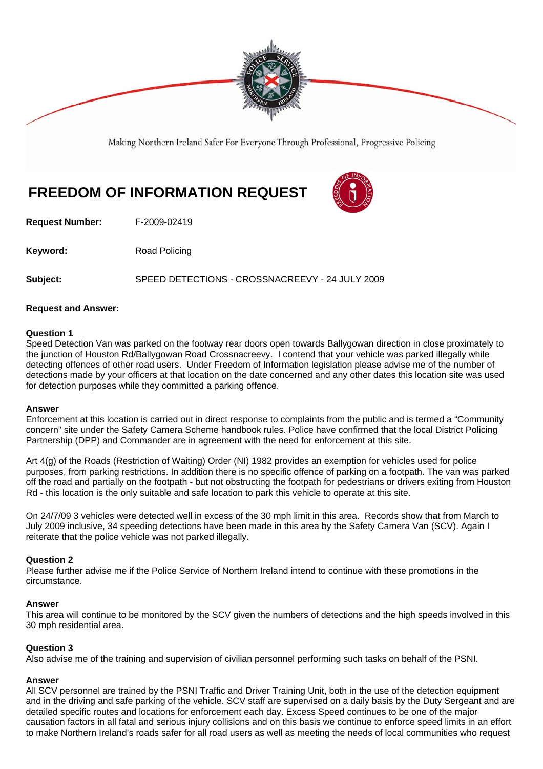

Making Northern Ireland Safer For Everyone Through Professional, Progressive Policing

# **FREEDOM OF INFORMATION REQUEST**



**Request Number:** F-2009-02419

**Keyword:** Road Policing

**Subject:** SPEED DETECTIONS - CROSSNACREEVY - 24 JULY 2009

### **Request and Answer:**

### **Question 1**

Speed Detection Van was parked on the footway rear doors open towards Ballygowan direction in close proximately to the junction of Houston Rd/Ballygowan Road Crossnacreevy. I contend that your vehicle was parked illegally while detecting offences of other road users. Under Freedom of Information legislation please advise me of the number of detections made by your officers at that location on the date concerned and any other dates this location site was used for detection purposes while they committed a parking offence.

#### **Answer**

Enforcement at this location is carried out in direct response to complaints from the public and is termed a "Community concern" site under the Safety Camera Scheme handbook rules. Police have confirmed that the local District Policing Partnership (DPP) and Commander are in agreement with the need for enforcement at this site.

Art 4(g) of the Roads (Restriction of Waiting) Order (NI) 1982 provides an exemption for vehicles used for police purposes, from parking restrictions. In addition there is no specific offence of parking on a footpath. The van was parked off the road and partially on the footpath - but not obstructing the footpath for pedestrians or drivers exiting from Houston Rd - this location is the only suitable and safe location to park this vehicle to operate at this site.

On 24/7/09 3 vehicles were detected well in excess of the 30 mph limit in this area. Records show that from March to July 2009 inclusive, 34 speeding detections have been made in this area by the Safety Camera Van (SCV). Again I reiterate that the police vehicle was not parked illegally.

# **Question 2**

Please further advise me if the Police Service of Northern Ireland intend to continue with these promotions in the circumstance.

#### **Answer**

This area will continue to be monitored by the SCV given the numbers of detections and the high speeds involved in this 30 mph residential area.

# **Question 3**

Also advise me of the training and supervision of civilian personnel performing such tasks on behalf of the PSNI.

# **Answer**

All SCV personnel are trained by the PSNI Traffic and Driver Training Unit, both in the use of the detection equipment and in the driving and safe parking of the vehicle. SCV staff are supervised on a daily basis by the Duty Sergeant and are detailed specific routes and locations for enforcement each day. Excess Speed continues to be one of the major causation factors in all fatal and serious injury collisions and on this basis we continue to enforce speed limits in an effort to make Northern Ireland's roads safer for all road users as well as meeting the needs of local communities who request